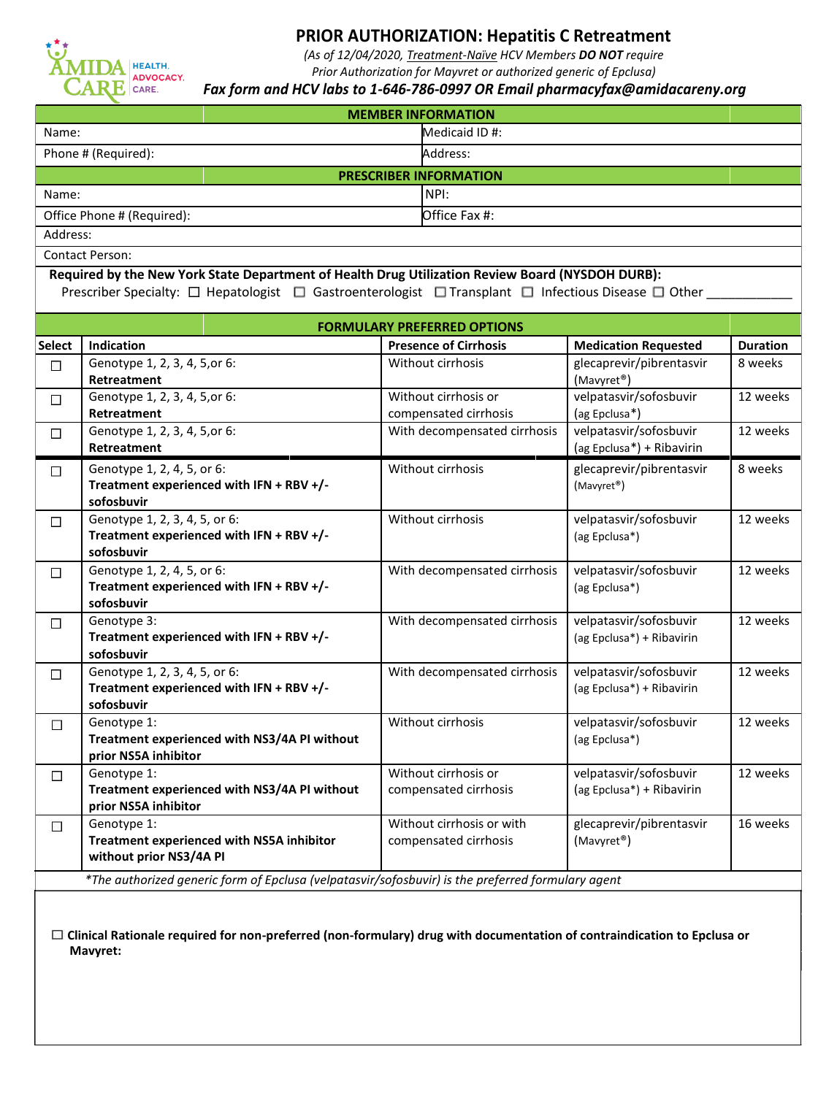

# **PRIOR AUTHORIZATION: Hepatitis C Retreatment**

*(As of 12/04/2020, Treatment-Naïve HCV Members DO NOT require* 

*Prior Authorization for Mayvret or authorized generic of Epclusa)*

#### *Fax form and HCV labs to 1-646-786-0997 OR Email pharmacyfax@amidacareny.org*

| <b>MEMBER INFORMATION</b>     |                |  |  |  |
|-------------------------------|----------------|--|--|--|
| Name:                         | Medicaid ID #: |  |  |  |
| Phone # (Required):           | Address:       |  |  |  |
| <b>PRESCRIBER INFORMATION</b> |                |  |  |  |
| Name:                         | INPI:          |  |  |  |
| Office Phone # (Required):    | Office Fax #:  |  |  |  |
| Address:                      |                |  |  |  |

Contact Person:

**Required by the New York State Department of Health Drug Utilization Review Board (NYSDOH DURB):** Prescriber Specialty:  $\Box$  Hepatologist  $\Box$  Gastroenterologist  $\Box$  Transplant  $\Box$  Infectious Disease  $\Box$  Other

| <b>FORMULARY PREFERRED OPTIONS</b>                                                                |                                                                                         |                                                    |                                                     |                 |
|---------------------------------------------------------------------------------------------------|-----------------------------------------------------------------------------------------|----------------------------------------------------|-----------------------------------------------------|-----------------|
| <b>Select</b>                                                                                     | Indication                                                                              | <b>Presence of Cirrhosis</b>                       | <b>Medication Requested</b>                         | <b>Duration</b> |
| $\langle \cdot \rangle$                                                                           | Genotype 1, 2, 3, 4, 5, or 6:<br>Retreatment                                            | Without cirrhosis                                  | glecaprevir/pibrentasvir<br>(Mavyret <sup>®</sup> ) | 8 weeks         |
| $\Box$                                                                                            | Genotype 1, 2, 3, 4, 5, or 6:<br>Retreatment                                            | Without cirrhosis or<br>compensated cirrhosis      | velpatasvir/sofosbuvir<br>(ag Epclusa*)             | 12 weeks        |
| $\Box$                                                                                            | Genotype 1, 2, 3, 4, 5, or 6:<br><b>Retreatment</b>                                     | With decompensated cirrhosis                       | velpatasvir/sofosbuvir<br>(ag Epclusa*) + Ribavirin | 12 weeks        |
| П                                                                                                 | Genotype 1, 2, 4, 5, or 6:<br>Treatment experienced with IFN + RBV +/-<br>sofosbuvir    | Without cirrhosis                                  | glecaprevir/pibrentasvir<br>(Mavyret <sup>®</sup> ) | 8 weeks         |
| $\mathcal{L}_{\mathcal{L}}$                                                                       | Genotype 1, 2, 3, 4, 5, or 6:<br>Treatment experienced with IFN + RBV +/-<br>sofosbuvir | Without cirrhosis                                  | velpatasvir/sofosbuvir<br>(ag Epclusa*)             | 12 weeks        |
| $\mathcal{L}_{\mathcal{L}}$                                                                       | Genotype 1, 2, 4, 5, or 6:<br>Treatment experienced with IFN + RBV +/-<br>sofosbuvir    | With decompensated cirrhosis                       | velpatasvir/sofosbuvir<br>(ag Epclusa*)             | 12 weeks        |
| $\Box$                                                                                            | Genotype 3:<br>Treatment experienced with IFN + RBV +/-<br>sofosbuvir                   | With decompensated cirrhosis                       | velpatasvir/sofosbuvir<br>(ag Epclusa*) + Ribavirin | 12 weeks        |
| $\mathcal{L}_{\mathcal{A}}$                                                                       | Genotype 1, 2, 3, 4, 5, or 6:<br>Treatment experienced with IFN + RBV +/-<br>sofosbuvir | With decompensated cirrhosis                       | velpatasvir/sofosbuvir<br>(ag Epclusa*) + Ribavirin | 12 weeks        |
| $\Box$                                                                                            | Genotype 1:<br>Treatment experienced with NS3/4A PI without<br>prior NS5A inhibitor     | Without cirrhosis                                  | velpatasvir/sofosbuvir<br>(ag Epclusa*)             | 12 weeks        |
| $\sim$                                                                                            | Genotype 1:<br>Treatment experienced with NS3/4A PI without<br>prior NS5A inhibitor     | Without cirrhosis or<br>compensated cirrhosis      | velpatasvir/sofosbuvir<br>(ag Epclusa*) + Ribavirin | 12 weeks        |
| $\Box$                                                                                            | Genotype 1:<br>Treatment experienced with NS5A inhibitor<br>without prior NS3/4A PI     | Without cirrhosis or with<br>compensated cirrhosis | glecaprevir/pibrentasvir<br>(Mavyret <sup>®</sup> ) | 16 weeks        |
| *The authorized generic form of Epclusa (velpatasvir/sofosbuvir) is the preferred formulary agent |                                                                                         |                                                    |                                                     |                 |

**Clinical Rationale required for non-preferred (non-formulary) drug with documentation of contraindication to Epclusa or Mavyret:**